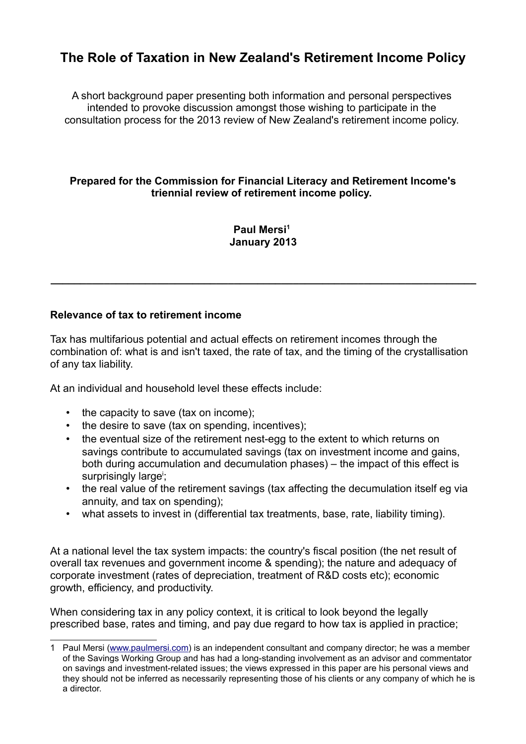# **The Role of Taxation in New Zealand's Retirement Income Policy**

A short background paper presenting both information and personal perspectives intended to provoke discussion amongst those wishing to participate in the consultation process for the 2013 review of New Zealand's retirement income policy.

## **Prepared for the Commission for Financial Literacy and Retirement Income's triennial review of retirement income policy.**

**Paul Mersi[1](#page-0-0) January 2013**

**\_\_\_\_\_\_\_\_\_\_\_\_\_\_\_\_\_\_\_\_\_\_\_\_\_\_\_\_\_\_\_\_\_\_\_\_\_\_\_\_\_\_\_\_\_\_\_\_\_\_\_\_\_\_\_\_\_\_\_\_\_\_\_\_\_\_\_\_\_\_\_\_**

## **Relevance of tax to retirement income**

Tax has multifarious potential and actual effects on retirement incomes through the combination of: what is and isn't taxed, the rate of tax, and the timing of the crystallisation of any tax liability.

At an individual and household level these effects include:

- the capacity to save (tax on income);
- the desire to save (tax on spending, incentives);
- the eventual size of the retirement nest-egg to the extent to which returns on savings contribute to accumulated savings (tax on investment income and gains, both during accumulation and decumulation phases) – the impact of this effect is surpr[i](#page-7-0)singly large<sup>i</sup>;
- the real value of the retirement savings (tax affecting the decumulation itself eg via annuity, and tax on spending);
- what assets to invest in (differential tax treatments, base, rate, liability timing).

At a national level the tax system impacts: the country's fiscal position (the net result of overall tax revenues and government income & spending); the nature and adequacy of corporate investment (rates of depreciation, treatment of R&D costs etc); economic growth, efficiency, and productivity.

When considering tax in any policy context, it is critical to look beyond the legally prescribed base, rates and timing, and pay due regard to how tax is applied in practice;

<span id="page-0-0"></span><sup>1</sup> Paul Mersi [\(www.paulmersi.com\)](http://www.paulmersi.com/) is an independent consultant and company director; he was a member of the Savings Working Group and has had a long-standing involvement as an advisor and commentator on savings and investment-related issues; the views expressed in this paper are his personal views and they should not be inferred as necessarily representing those of his clients or any company of which he is a director.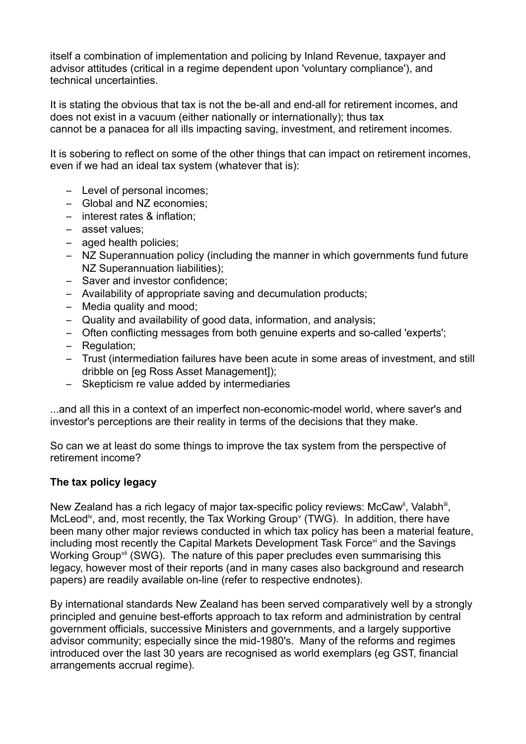itself a combination of implementation and policing by Inland Revenue, taxpayer and advisor attitudes (critical in a regime dependent upon 'voluntary compliance'), and technical uncertainties.

It is stating the obvious that tax is not the be-all and end-all for retirement incomes, and does not exist in a vacuum (either nationally or internationally); thus tax cannot be a panacea for all ills impacting saving, investment, and retirement incomes.

It is sobering to reflect on some of the other things that can impact on retirement incomes, even if we had an ideal tax system (whatever that is):

- Level of personal incomes;
- Global and NZ economies;
- interest rates & inflation;
- asset values;
- aged health policies;
- NZ Superannuation policy (including the manner in which governments fund future NZ Superannuation liabilities);
- Saver and investor confidence;
- Availability of appropriate saving and decumulation products;
- Media quality and mood;
- Quality and availability of good data, information, and analysis;
- Often conflicting messages from both genuine experts and so-called 'experts';
- Regulation;
- Trust (intermediation failures have been acute in some areas of investment, and still dribble on [eg Ross Asset Management]);
- Skepticism re value added by intermediaries

...and all this in a context of an imperfect non-economic-model world, where saver's and investor's perceptions are their reality in terms of the decisions that they make.

So can we at least do some things to improve the tax system from the perspective of retirement income?

# **The tax policy legacy**

New Zealand has a rich legacy of major tax-specific policy reviews: McCaw<sup>[ii](#page-7-1)</sup>, Valabh<sup>[iii](#page-7-2)</sup>, McLeod<sup>[iv](#page-7-3)</sup>, and, most recently, the Tax Working Group<sup> $\vee$  $\vee$  $\vee$ </sup> (TWG). In addition, there have been many other major reviews conducted in which tax policy has been a material feature, including most recently the Capital Markets Development Task Force<sup>[vi](#page-7-5)</sup> and the Savings Working Group<sup>[vii](#page-7-6)</sup> (SWG). The nature of this paper precludes even summarising this legacy, however most of their reports (and in many cases also background and research papers) are readily available on-line (refer to respective endnotes).

By international standards New Zealand has been served comparatively well by a strongly principled and genuine best-efforts approach to tax reform and administration by central government officials, successive Ministers and governments, and a largely supportive advisor community; especially since the mid-1980's. Many of the reforms and regimes introduced over the last 30 years are recognised as world exemplars (eg GST, financial arrangements accrual regime).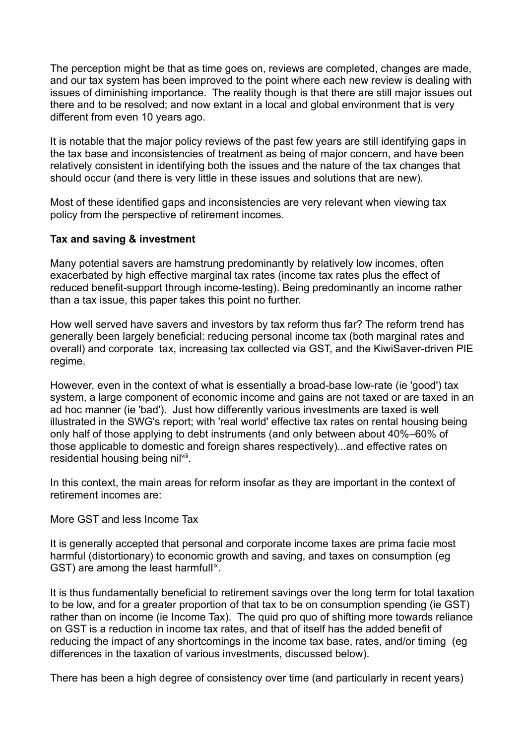The perception might be that as time goes on, reviews are completed, changes are made, and our tax system has been improved to the point where each new review is dealing with issues of diminishing importance. The reality though is that there are still major issues out there and to be resolved; and now extant in a local and global environment that is very different from even 10 years ago.

It is notable that the major policy reviews of the past few years are still identifying gaps in the tax base and inconsistencies of treatment as being of major concern, and have been relatively consistent in identifying both the issues and the nature of the tax changes that should occur (and there is very little in these issues and solutions that are new).

Most of these identified gaps and inconsistencies are very relevant when viewing tax policy from the perspective of retirement incomes.

## **Tax and saving & investment**

Many potential savers are hamstrung predominantly by relatively low incomes, often exacerbated by high effective marginal tax rates (income tax rates plus the effect of reduced benefit-support through income-testing). Being predominantly an income rather than a tax issue, this paper takes this point no further.

How well served have savers and investors by tax reform thus far? The reform trend has generally been largely beneficial: reducing personal income tax (both marginal rates and overall) and corporate tax, increasing tax collected via GST, and the KiwiSaver-driven PIE regime.

However, even in the context of what is essentially a broad-base low-rate (ie 'good') tax system, a large component of economic income and gains are not taxed or are taxed in an ad hoc manner (ie 'bad'). Just how differently various investments are taxed is well illustrated in the SWG's report; with 'real world' effective tax rates on rental housing being only half of those applying to debt instruments (and only between about 40%–60% of those applicable to domestic and foreign shares respectively)...and effective rates on residential housing being nil<sup>[viii](#page-7-7)</sup>.

In this context, the main areas for reform insofar as they are important in the context of retirement incomes are:

#### More GST and less Income Tax

It is generally accepted that personal and corporate income taxes are prima facie most harmful (distortionary) to economic growth and saving, and taxes on consumption (eg GST) are among the least harmfull<sup>[ix](#page-7-8)</sup>.

It is thus fundamentally beneficial to retirement savings over the long term for total taxation to be low, and for a greater proportion of that tax to be on consumption spending (ie GST) rather than on income (ie Income Tax). The quid pro quo of shifting more towards reliance on GST is a reduction in income tax rates, and that of itself has the added benefit of reducing the impact of any shortcomings in the income tax base, rates, and/or timing (eg differences in the taxation of various investments, discussed below).

There has been a high degree of consistency over time (and particularly in recent years)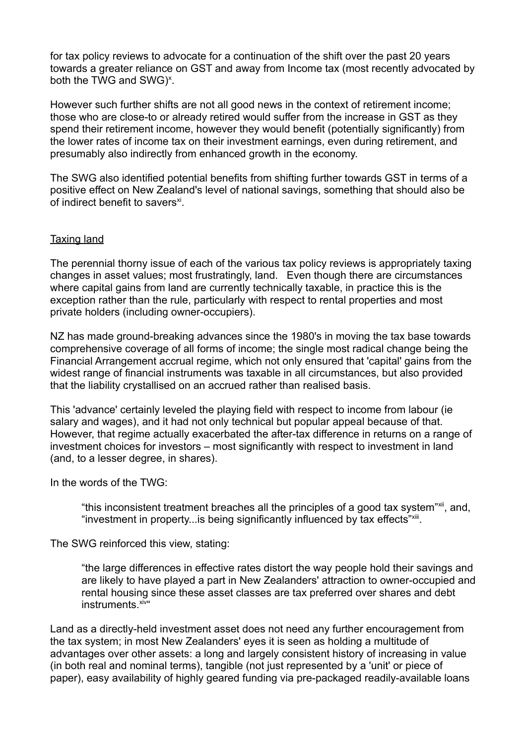for tax policy reviews to advocate for a continuation of the shift over the past 20 years towards a greater reliance on GST and away from Income tax (most recently advocated by both the TWG and SWG $)$ <sup>[x](#page-7-9)</sup>.

However such further shifts are not all good news in the context of retirement income; those who are close-to or already retired would suffer from the increase in GST as they spend their retirement income, however they would benefit (potentially significantly) from the lower rates of income tax on their investment earnings, even during retirement, and presumably also indirectly from enhanced growth in the economy.

The SWG also identified potential benefits from shifting further towards GST in terms of a positive effect on New Zealand's level of national savings, something that should also be of indirect benefit to savers<sup>[xi](#page-8-0)</sup>.

## Taxing land

The perennial thorny issue of each of the various tax policy reviews is appropriately taxing changes in asset values; most frustratingly, land. Even though there are circumstances where capital gains from land are currently technically taxable, in practice this is the exception rather than the rule, particularly with respect to rental properties and most private holders (including owner-occupiers).

NZ has made ground-breaking advances since the 1980's in moving the tax base towards comprehensive coverage of all forms of income; the single most radical change being the Financial Arrangement accrual regime, which not only ensured that 'capital' gains from the widest range of financial instruments was taxable in all circumstances, but also provided that the liability crystallised on an accrued rather than realised basis.

This 'advance' certainly leveled the playing field with respect to income from labour (ie salary and wages), and it had not only technical but popular appeal because of that. However, that regime actually exacerbated the after-tax difference in returns on a range of investment choices for investors – most significantly with respect to investment in land (and, to a lesser degree, in shares).

In the words of the TWG:

"this inconsistent treatment breaches all the principles of a good tax system"[xii](#page-8-1), and, "investment in property...is being significantly influenced by tax effects"[xiii](#page-8-2).

The SWG reinforced this view, stating:

"the large differences in effective rates distort the way people hold their savings and are likely to have played a part in New Zealanders' attraction to owner-occupied and rental housing since these asset classes are tax preferred over shares and debt instruments.<sup>[xiv](#page-8-3)</sup>"

Land as a directly-held investment asset does not need any further encouragement from the tax system; in most New Zealanders' eyes it is seen as holding a multitude of advantages over other assets: a long and largely consistent history of increasing in value (in both real and nominal terms), tangible (not just represented by a 'unit' or piece of paper), easy availability of highly geared funding via pre-packaged readily-available loans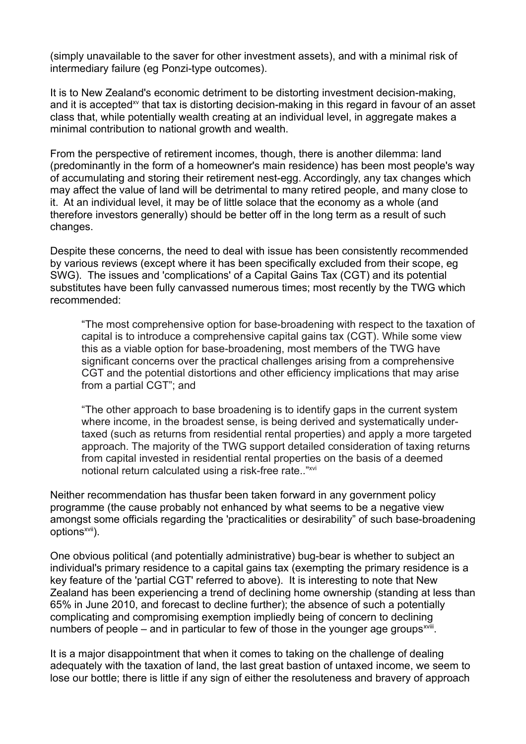(simply unavailable to the saver for other investment assets), and with a minimal risk of intermediary failure (eg Ponzi-type outcomes).

It is to New Zealand's economic detriment to be distorting investment decision-making, and it is accepted<sup>[xv](#page-8-4)</sup> that tax is distorting decision-making in this regard in favour of an asset class that, while potentially wealth creating at an individual level, in aggregate makes a minimal contribution to national growth and wealth.

From the perspective of retirement incomes, though, there is another dilemma: land (predominantly in the form of a homeowner's main residence) has been most people's way of accumulating and storing their retirement nest-egg. Accordingly, any tax changes which may affect the value of land will be detrimental to many retired people, and many close to it. At an individual level, it may be of little solace that the economy as a whole (and therefore investors generally) should be better off in the long term as a result of such changes.

Despite these concerns, the need to deal with issue has been consistently recommended by various reviews (except where it has been specifically excluded from their scope, eg SWG). The issues and 'complications' of a Capital Gains Tax (CGT) and its potential substitutes have been fully canvassed numerous times; most recently by the TWG which recommended:

"The most comprehensive option for base-broadening with respect to the taxation of capital is to introduce a comprehensive capital gains tax (CGT). While some view this as a viable option for base-broadening, most members of the TWG have significant concerns over the practical challenges arising from a comprehensive CGT and the potential distortions and other efficiency implications that may arise from a partial CGT"; and

"The other approach to base broadening is to identify gaps in the current system where income, in the broadest sense, is being derived and systematically undertaxed (such as returns from residential rental properties) and apply a more targeted approach. The majority of the TWG support detailed consideration of taxing returns from capital invested in residential rental properties on the basis of a deemed notional return calculated using a risk-free rate.."[xvi](#page-8-5)

Neither recommendation has thusfar been taken forward in any government policy programme (the cause probably not enhanced by what seems to be a negative view amongst some officials regarding the 'practicalities or desirability" of such base-broadening options<sup>[xvii](#page-8-6)</sup>).

One obvious political (and potentially administrative) bug-bear is whether to subject an individual's primary residence to a capital gains tax (exempting the primary residence is a key feature of the 'partial CGT' referred to above). It is interesting to note that New Zealand has been experiencing a trend of declining home ownership (standing at less than 65% in June 2010, and forecast to decline further); the absence of such a potentially complicating and compromising exemption impliedly being of concern to declining numbers of people  $-$  and in particular to few of those in the younger age groups<sup> $xviii$ </sup>.

It is a major disappointment that when it comes to taking on the challenge of dealing adequately with the taxation of land, the last great bastion of untaxed income, we seem to lose our bottle; there is little if any sign of either the resoluteness and bravery of approach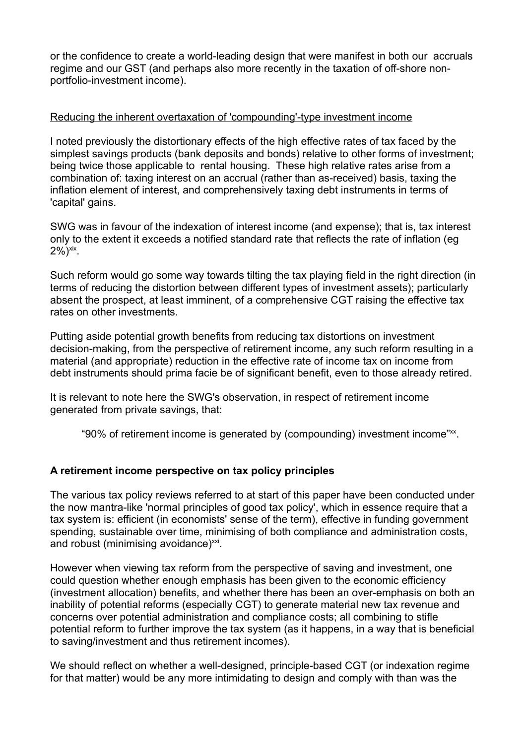or the confidence to create a world-leading design that were manifest in both our accruals regime and our GST (and perhaps also more recently in the taxation of off-shore nonportfolio-investment income).

## Reducing the inherent overtaxation of 'compounding'-type investment income

I noted previously the distortionary effects of the high effective rates of tax faced by the simplest savings products (bank deposits and bonds) relative to other forms of investment; being twice those applicable to rental housing. These high relative rates arise from a combination of: taxing interest on an accrual (rather than as-received) basis, taxing the inflation element of interest, and comprehensively taxing debt instruments in terms of 'capital' gains.

SWG was in favour of the indexation of interest income (and expense); that is, tax interest only to the extent it exceeds a notified standard rate that reflects the rate of inflation (eg  $2\%)$ <sup>[xix](#page-8-8)</sup>.

Such reform would go some way towards tilting the tax playing field in the right direction (in terms of reducing the distortion between different types of investment assets); particularly absent the prospect, at least imminent, of a comprehensive CGT raising the effective tax rates on other investments.

Putting aside potential growth benefits from reducing tax distortions on investment decision-making, from the perspective of retirement income, any such reform resulting in a material (and appropriate) reduction in the effective rate of income tax on income from debt instruments should prima facie be of significant benefit, even to those already retired.

It is relevant to note here the SWG's observation, in respect of retirement income generated from private savings, that:

"90% of retirement income is generated by (compounding) investment income"[xx](#page-8-9).

# **A retirement income perspective on tax policy principles**

The various tax policy reviews referred to at start of this paper have been conducted under the now mantra-like 'normal principles of good tax policy', which in essence require that a tax system is: efficient (in economists' sense of the term), effective in funding government spending, sustainable over time, minimising of both compliance and administration costs, and robust (minimising avoidance)<sup>[xxi](#page-8-10)</sup>.

However when viewing tax reform from the perspective of saving and investment, one could question whether enough emphasis has been given to the economic efficiency (investment allocation) benefits, and whether there has been an over-emphasis on both an inability of potential reforms (especially CGT) to generate material new tax revenue and concerns over potential administration and compliance costs; all combining to stifle potential reform to further improve the tax system (as it happens, in a way that is beneficial to saving/investment and thus retirement incomes).

We should reflect on whether a well-designed, principle-based CGT (or indexation regime for that matter) would be any more intimidating to design and comply with than was the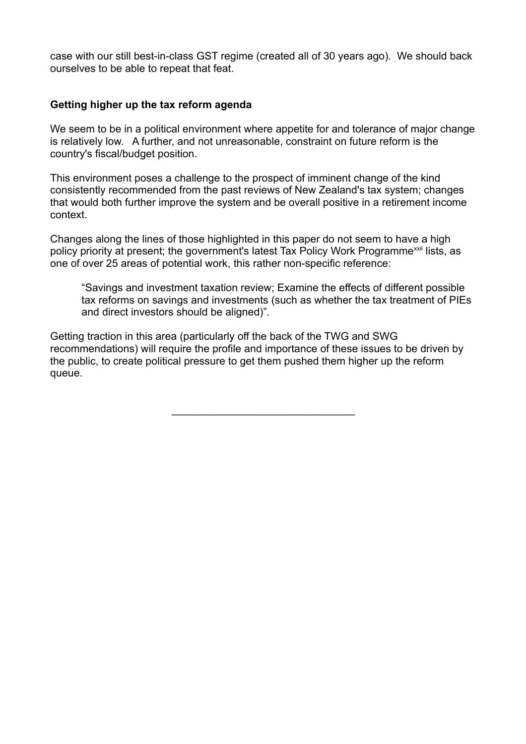case with our still best-in-class GST regime (created all of 30 years ago). We should back ourselves to be able to repeat that feat.

## **Getting higher up the tax reform agenda**

We seem to be in a political environment where appetite for and tolerance of major change is relatively low. A further, and not unreasonable, constraint on future reform is the country's fiscal/budget position.

This environment poses a challenge to the prospect of imminent change of the kind consistently recommended from the past reviews of New Zealand's tax system; changes that would both further improve the system and be overall positive in a retirement income context.

Changes along the lines of those highlighted in this paper do not seem to have a high policy priority at present; the government's latest Tax Policy Work Programme<sup>[xxii](#page-9-0)</sup> lists, as one of over 25 areas of potential work, this rather non-specific reference:

"Savings and investment taxation review; Examine the effects of different possible tax reforms on savings and investments (such as whether the tax treatment of PIEs and direct investors should be aligned)".

Getting traction in this area (particularly off the back of the TWG and SWG recommendations) will require the profile and importance of these issues to be driven by the public, to create political pressure to get them pushed them higher up the reform queue.

 $\mathcal{L}_\text{max}$  and  $\mathcal{L}_\text{max}$  and  $\mathcal{L}_\text{max}$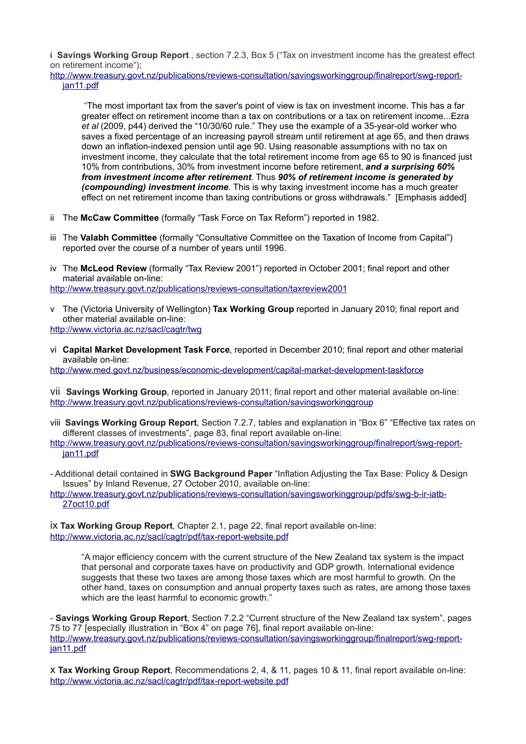<span id="page-7-0"></span>i **Savings Working Group Report** , section 7.2.3, Box 5 ("Tax on investment income has the greatest effect on retirement income");

[http://www.treasury.govt.nz/publications/reviews-consultation/savingsworkinggroup/finalreport/swg-report](http://www.treasury.govt.nz/publications/reviews-consultation/savingsworkinggroup/finalreport/swg-report-jan11.pdf)[jan11.pdf](http://www.treasury.govt.nz/publications/reviews-consultation/savingsworkinggroup/finalreport/swg-report-jan11.pdf)

 "The most important tax from the saver's point of view is tax on investment income. This has a far greater effect on retirement income than a tax on contributions or a tax on retirement income...Ezra *et al* (2009, p44) derived the "10/30/60 rule." They use the example of a 35-year-old worker who saves a fixed percentage of an increasing payroll stream until retirement at age 65, and then draws down an inflation-indexed pension until age 90. Using reasonable assumptions with no tax on investment income, they calculate that the total retirement income from age 65 to 90 is financed just 10% from contributions, 30% from investment income before retirement, *and a surprising 60% from investment income after retirement*. Thus *90% of retirement income is generated by (compounding) investment income*. This is why taxing investment income has a much greater effect on net retirement income than taxing contributions or gross withdrawals." [Emphasis added]

- <span id="page-7-1"></span>ii The **McCaw Committee** (formally "Task Force on Tax Reform") reported in 1982.
- <span id="page-7-2"></span>iii The **Valabh Committee** (formally "Consultative Committee on the Taxation of Income from Capital") reported over the course of a number of years until 1996.
- <span id="page-7-3"></span>iv The **McLeod Review** (formally "Tax Review 2001") reported in October 2001; final report and other material available on-line:

<http://www.treasury.govt.nz/publications/reviews-consultation/taxreview2001>

- <span id="page-7-4"></span>v The (Victoria University of Wellington) **Tax Working Group** reported in January 2010; final report and other material available on-line: <http://www.victoria.ac.nz/sacl/cagtr/twg>
- <span id="page-7-5"></span>vi **Capital Market Development Task Force**, reported in December 2010; final report and other material available on-line:

<http://www.med.govt.nz/business/economic-development/capital-market-development-taskforce>

<span id="page-7-6"></span>vii **Savings Working Group**, reported in January 2011; final report and other material available on-line: <http://www.treasury.govt.nz/publications/reviews-consultation/savingsworkinggroup>

<span id="page-7-7"></span>viii **Savings Working Group Report**, Section 7.2.7, tables and explanation in "Box 6" "Effective tax rates on different classes of investments", page 83, final report available on-line:

- Additional detail contained in **SWG Background Paper** "Inflation Adjusting the Tax Base: Policy & Design Issues" by Inland Revenue, 27 October 2010, available on-line:

http://www.treasury.govt.nz/publications/reviews-consultation/savingsworkinggroup/pdfs/swg-b-ir-iatb-27oct10.pdf

<span id="page-7-8"></span>ix **Tax Working Group Report**, Chapter 2.1, page 22, final report available on-line: <http://www.victoria.ac.nz/sacl/cagtr/pdf/tax-report-website.pdf>

"A major efficiency concern with the current structure of the New Zealand tax system is the impact that personal and corporate taxes have on productivity and GDP growth. International evidence suggests that these two taxes are among those taxes which are most harmful to growth. On the other hand, taxes on consumption and annual property taxes such as rates, are among those taxes which are the least harmful to economic growth."

- **Savings Working Group Report**, Section 7.2.2 "Current structure of the New Zealand tax system", pages 75 to 77 [especially illustration in "Box 4" on page 76], final report available on-line: [http://www.treasury.govt.nz/publications/reviews-consultation/savingsworkinggroup/finalreport/swg-report](http://www.treasury.govt.nz/publications/reviews-consultation/savingsworkinggroup/finalreport/swg-report-jan11.pdf)[jan11.pdf](http://www.treasury.govt.nz/publications/reviews-consultation/savingsworkinggroup/finalreport/swg-report-jan11.pdf)

<span id="page-7-9"></span>x **Tax Working Group Report**, Recommendations 2, 4, & 11, pages 10 & 11, final report available on-line: <http://www.victoria.ac.nz/sacl/cagtr/pdf/tax-report-website.pdf>

[http://www.treasury.govt.nz/publications/reviews-consultation/savingsworkinggroup/finalreport/swg-report](http://www.treasury.govt.nz/publications/reviews-consultation/savingsworkinggroup/finalreport/swg-report-jan11.pdf)[jan11.pdf](http://www.treasury.govt.nz/publications/reviews-consultation/savingsworkinggroup/finalreport/swg-report-jan11.pdf)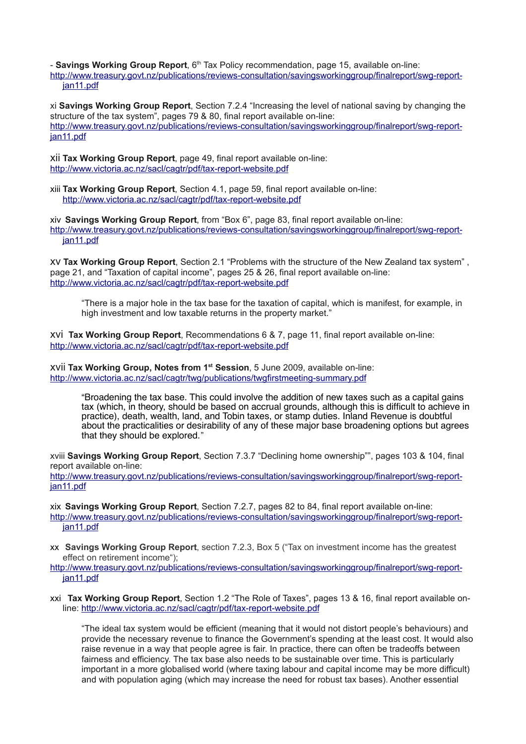- **Savings Working Group Report**, 6<sup>th</sup> Tax Policy recommendation, page 15, available on-line: [http://www.treasury.govt.nz/publications/reviews-consultation/savingsworkinggroup/finalreport/swg-report](http://www.treasury.govt.nz/publications/reviews-consultation/savingsworkinggroup/finalreport/swg-report-jan11.pdf)[jan11.pdf](http://www.treasury.govt.nz/publications/reviews-consultation/savingsworkinggroup/finalreport/swg-report-jan11.pdf)

<span id="page-8-0"></span>xi **Savings Working Group Report**, Section 7.2.4 "Increasing the level of national saving by changing the structure of the tax system", pages 79 & 80, final report available on-line: [http://www.treasury.govt.nz/publications/reviews-consultation/savingsworkinggroup/finalreport/swg-report](http://www.treasury.govt.nz/publications/reviews-consultation/savingsworkinggroup/finalreport/swg-report-jan11.pdf)[jan11.pdf](http://www.treasury.govt.nz/publications/reviews-consultation/savingsworkinggroup/finalreport/swg-report-jan11.pdf)

<span id="page-8-1"></span>xii **Tax Working Group Report**, page 49, final report available on-line: <http://www.victoria.ac.nz/sacl/cagtr/pdf/tax-report-website.pdf>

<span id="page-8-2"></span>xiii **Tax Working Group Report**, Section 4.1, page 59, final report available on-line: <http://www.victoria.ac.nz/sacl/cagtr/pdf/tax-report-website.pdf>

<span id="page-8-3"></span>xiv **Savings Working Group Report**, from "Box 6", page 83, final report available on-line: [http://www.treasury.govt.nz/publications/reviews-consultation/savingsworkinggroup/finalreport/swg-report](http://www.treasury.govt.nz/publications/reviews-consultation/savingsworkinggroup/finalreport/swg-report-jan11.pdf)[jan11.pdf](http://www.treasury.govt.nz/publications/reviews-consultation/savingsworkinggroup/finalreport/swg-report-jan11.pdf)

<span id="page-8-4"></span>xv **Tax Working Group Report**, Section 2.1 "Problems with the structure of the New Zealand tax system" , page 21, and "Taxation of capital income", pages 25 & 26, final report available on-line: <http://www.victoria.ac.nz/sacl/cagtr/pdf/tax-report-website.pdf>

"There is a major hole in the tax base for the taxation of capital, which is manifest, for example, in high investment and low taxable returns in the property market."

<span id="page-8-5"></span>xvi **Tax Working Group Report**, Recommendations 6 & 7, page 11, final report available on-line: <http://www.victoria.ac.nz/sacl/cagtr/pdf/tax-report-website.pdf>

<span id="page-8-6"></span>xvii **Tax Working Group, Notes from 1st Session**, 5 June 2009, available on-line: http://www.victoria.ac.nz/sacl/cagtr/twg/publications/twgfirstmeeting-summary.pdf

"Broadening the tax base. This could involve the addition of new taxes such as a capital gains tax (which, in theory, should be based on accrual grounds, although this is difficult to achieve in practice), death, wealth, land, and Tobin taxes, or stamp duties. Inland Revenue is doubtful about the practicalities or desirability of any of these major base broadening options but agrees that they should be explored."

<span id="page-8-7"></span>xviii **Savings Working Group Report**, Section 7.3.7 "Declining home ownership"", pages 103 & 104, final report available on-line:

[http://www.treasury.govt.nz/publications/reviews-consultation/savingsworkinggroup/finalreport/swg-report](http://www.treasury.govt.nz/publications/reviews-consultation/savingsworkinggroup/finalreport/swg-report-jan11.pdf)[jan11.pdf](http://www.treasury.govt.nz/publications/reviews-consultation/savingsworkinggroup/finalreport/swg-report-jan11.pdf)

<span id="page-8-8"></span>xix **Savings Working Group Report**, Section 7.2.7, pages 82 to 84, final report available on-line: [http://www.treasury.govt.nz/publications/reviews-consultation/savingsworkinggroup/finalreport/swg-report](http://www.treasury.govt.nz/publications/reviews-consultation/savingsworkinggroup/finalreport/swg-report-jan11.pdf)[jan11.pdf](http://www.treasury.govt.nz/publications/reviews-consultation/savingsworkinggroup/finalreport/swg-report-jan11.pdf)

<span id="page-8-9"></span>xx **Savings Working Group Report**, section 7.2.3, Box 5 ("Tax on investment income has the greatest effect on retirement income");

[http://www.treasury.govt.nz/publications/reviews-consultation/savingsworkinggroup/finalreport/swg-report](http://www.treasury.govt.nz/publications/reviews-consultation/savingsworkinggroup/finalreport/swg-report-jan11.pdf)[jan11.pdf](http://www.treasury.govt.nz/publications/reviews-consultation/savingsworkinggroup/finalreport/swg-report-jan11.pdf)

<span id="page-8-10"></span>xxi **Tax Working Group Report**, Section 1.2 "The Role of Taxes", pages 13 & 16, final report available online:<http://www.victoria.ac.nz/sacl/cagtr/pdf/tax-report-website.pdf>

"The ideal tax system would be efficient (meaning that it would not distort people's behaviours) and provide the necessary revenue to finance the Government's spending at the least cost. It would also raise revenue in a way that people agree is fair. In practice, there can often be tradeoffs between fairness and efficiency. The tax base also needs to be sustainable over time. This is particularly important in a more globalised world (where taxing labour and capital income may be more difficult) and with population aging (which may increase the need for robust tax bases). Another essential